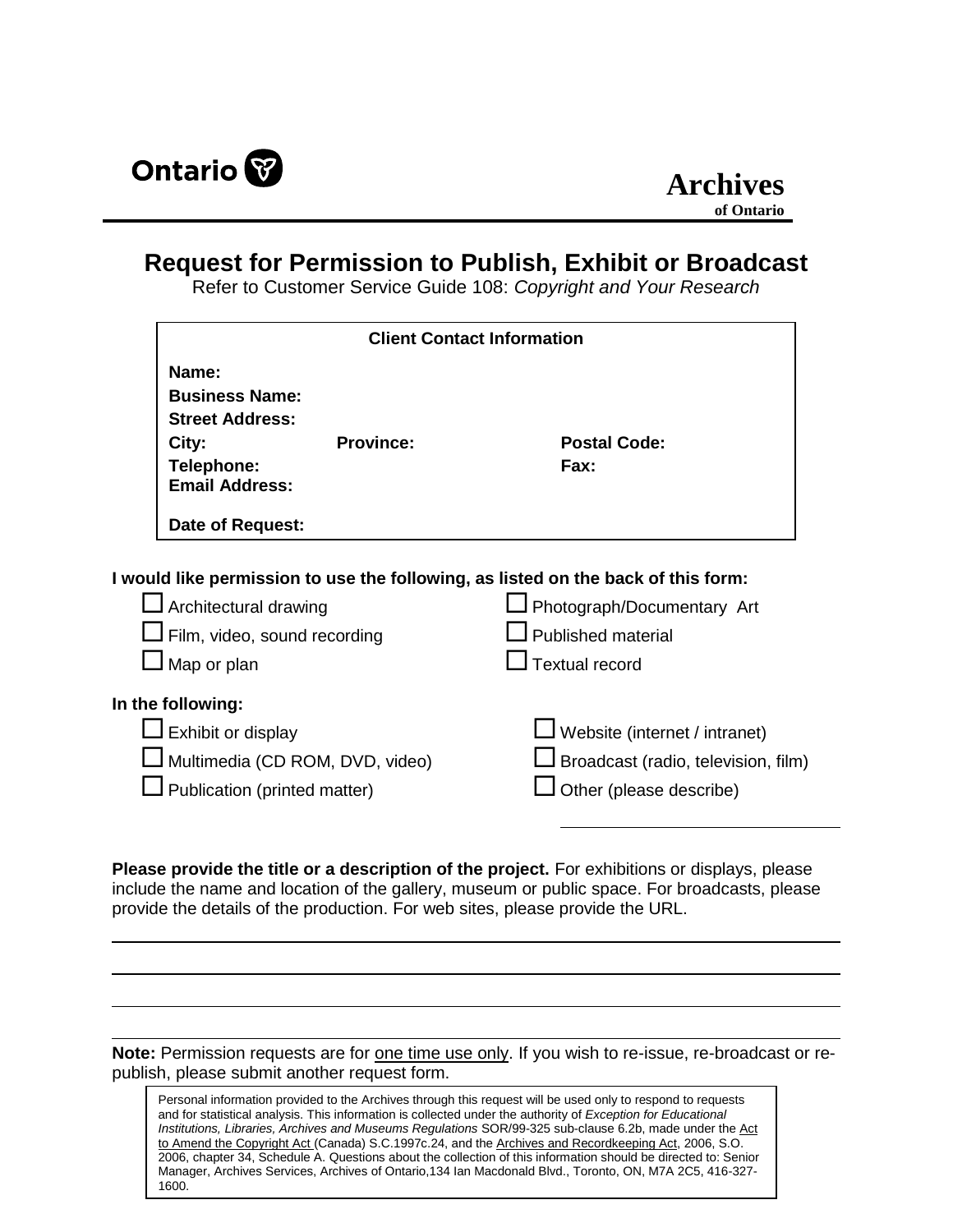

## **Request for Permission to Publish, Exhibit or Broadcast**

Refer to Customer Service Guide 108: *Copyright and Your Research*

|                                                                                                          | <b>Client Contact Information</b> |                                                                                   |  |  |
|----------------------------------------------------------------------------------------------------------|-----------------------------------|-----------------------------------------------------------------------------------|--|--|
| Name:<br><b>Business Name:</b><br><b>Street Address:</b><br>City:<br>Telephone:<br><b>Email Address:</b> | <b>Province:</b>                  | <b>Postal Code:</b><br>Fax:                                                       |  |  |
| Date of Request:                                                                                         |                                   |                                                                                   |  |  |
|                                                                                                          |                                   |                                                                                   |  |  |
|                                                                                                          |                                   | I would like permission to use the following, as listed on the back of this form: |  |  |
| $\Box$ Architectural drawing                                                                             |                                   | Photograph/Documentary Art                                                        |  |  |
| $\Box$ Film, video, sound recording<br>$\mathsf I$ Map or plan                                           |                                   | Published material<br>Textual record                                              |  |  |
| In the following:                                                                                        |                                   |                                                                                   |  |  |
| $\Box$ Exhibit or display                                                                                |                                   | $\Box$ Website (internet / intranet)                                              |  |  |
|                                                                                                          | J Multimedia (CD ROM, DVD, video) | $\Box$ Broadcast (radio, television, film)                                        |  |  |

**Please provide the title or a description of the project.** For exhibitions or displays, please include the name and location of the gallery, museum or public space. For broadcasts, please provide the details of the production. For web sites, please provide the URL.

**Note:** Permission requests are for one time use only. If you wish to re-issue, re-broadcast or republish, please submit another request form.

Personal information provided to the Archives through this request will be used only to respond to requests and for statistical analysis. This information is collected under the authority of *Exception for Educational Institutions, Libraries, Archives and Museums Regulations* SOR/99-325 sub-clause 6.2b, made under the Act to Amend the Copyright Act (Canada) S.C.1997c.24, and the Archives and Recordkeeping Act, 2006, S.O. 2006, chapter 34, Schedule A. Questions about the collection of this information should be directed to: Senior Manager, Archives Services, Archives of Ontario,134 Ian Macdonald Blvd., Toronto, ON, M7A 2C5, 416-327- 1600.